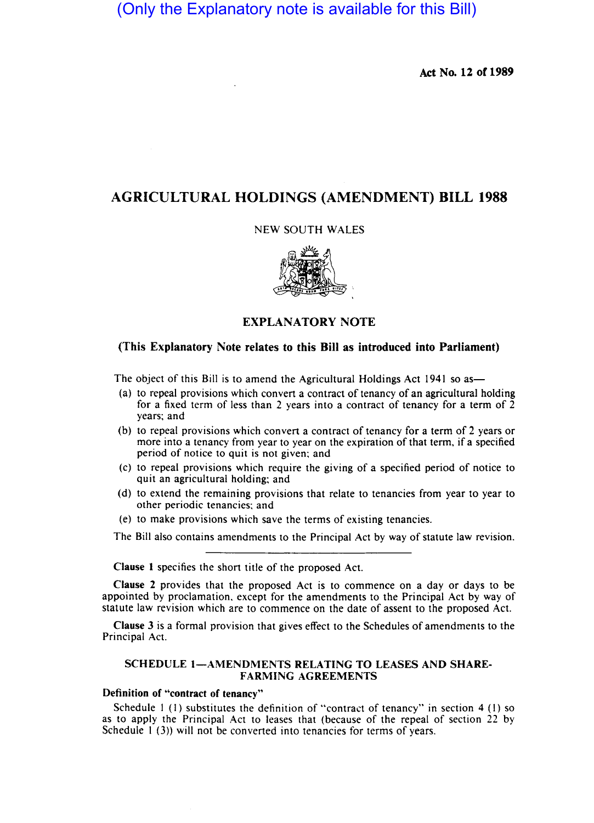# (Only the Explanatory note is available for this Bill)

Act No. 12 of 1989

## AGRICULTURAL HOLDINGS (AMENDMENT) BILL 1988

### NEW SOUTH WALES



### EXPLANATORY NOTE

### (This Explanatory Note relates to this Bill as introduced into Parliament)

The object of this Bill is to amend the Agricultural Holdings Act 1941 so as-

- (a) to repeal provisions which convert a contract of tenancy of an agricultural holding for a fixed term of less than 2 years into a contract of tenancy for a term of  $\overline{2}$ years; and
- (b) to repeal provisions which convert a contract of tenancy for a term of 2 years or more into a tenancy from year to year on the expiration of that term, if a specified period of notice to quit is not given; and
- (c) to repeal provisions which require the giving of a specified period of notice to quit an agricultural holding; and
- (d) to extend the remaining provisions that relate to tenancies from year to year to other periodic tenancies; and
- (e) to make provisions which save the terms of existing tenancies.

The Bill also contains amendments to the Principal Act by way of statute law revision.

Clause I specifies the short title of the proposed Act.

Clause 2 provides that the proposed Act is to commence on a day or days to be appointed by proclamation. except for the amendments to the Principal Act by way of statute law revision which are to commence on the date of assent to the proposed Act.

Clause 3 is a formal provision that gives effect to the Schedules of amendments to the Principal Act.

### SCHEDULE 1-AMENDMENTS RELATING TO LEASES AND SHARE-FARMING AGREEMENTS

### Definition of "contract of tenancy"

Schedule  $1$  (1) substitutes the definition of "contract of tenancy" in section 4 (1) so as to apply the Principal Act to leases that (because of the repeal of section 22 by Schedule 1 (3)) will not be converted into tenancies for terms of years.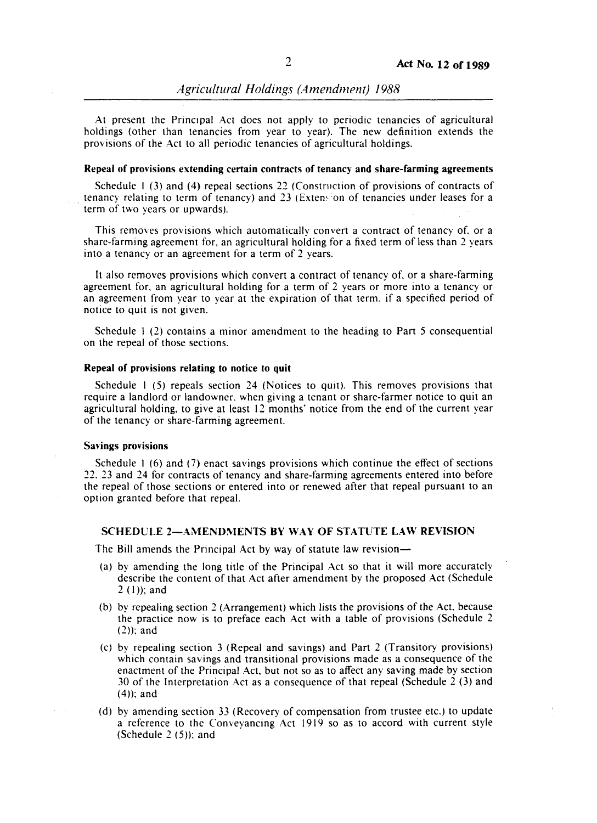At present the Principal Act does not apply to periodic tenancies of agricultural holdings (other than tenancies from year to year). The new definition extends the provisions of the Act to all periodic tenancies of agricultural holdings.

#### **Repeal of provisions extending certain contracts of tenancy and share-farming agreements**

Schedule I (3) and (4) repeal sections 22 (Construction of provisions of contracts of tenancy relating to term of tenancy) and 23 (Exten~ 'on of tenancies under leases for a term of two years or upwards).

This removes provisions which automatically convert a contract of tenancy of. or a share-farming agreement for, an agricultural holding for a fixed term of less than 2 years into a tenancy or an agreement for a term of 2 years.

It also removes provisions which convert a contract of tenancy of, or a share-farming agreement for. an agricultural holding for a term of 2 years or more into a tenancy or an agreement from year to year at the expiration of that term. if a specified period of notice to quit is not given.

Schedule I (2) contains a minor amendment to the heading to Part 5 consequential on the repeal of those sections.

### **Repeal of provisions relating to notice to quit**

Schedule I (5) repeals section 24 (Notices to quit). This removes provisions that require a landlord or landowner. when giving a tenant or share-farmer notice to quit an agricultural holding, to give at least 12 months' notice from the end of the current year of the tenancy or share-farming agreement.

#### **Savings provisions**

Schedule I (6) and (7) enact savings provisions which continue the effect of sections 22. 23 and 24 for contracts of tenancy and share-farming agreements entered into before the repeal of those sections or entered into or renewed after that repeal pursuant to an option granted before that repeal.

### **SCHEDULE 2-AMENDMENTS BY WAY OF STATUTE LAW REVISION**

The Bill amends the Principal Act by way of statute law revision—

- (a) by amending the long title of the Principal Act so that it will more accurately describe the content of that Act after amendment by the proposed Act (Schedule  $2(1)$ ; and
- (b) by repealing section 2 (Arrangement) which lists the provisions of the Act. because the practice now is to preface each Act with a table of provisions (Schedule 2 (2)); and
- (c) by repealing section 3 (Repeal and savings) and Part 2 (Transitory provisions) which contain savings and transitional provisions made as a consequence of the enactment of the Principal Act, but not so as to affect any saving made by section 30 of the Interpretation Act as a consequence of that repeal (Schedule 2 (3) and  $(4)$ : and
- (d) by amending section 33 (Recovery of compensation from trustee etc.) to update a reference to the Conveyancing Act 1919 so as to accord with current style (Schedule  $2(5)$ ); and